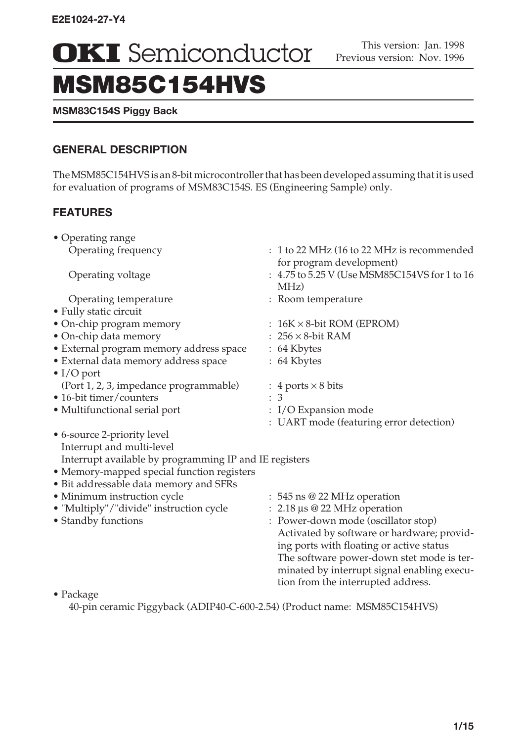**OKI** Semiconductor **Previous version: Nov. 1996** 

# MSM85C154HVS

## **MSM83C154S Piggy Back**

## **GENERAL DESCRIPTION**

The MSM85C154HVS is an 8-bit microcontroller that has been developed assuming that it is used for evaluation of programs of MSM83C154S. ES (Engineering Sample) only.

# **FEATURES**

| • Operating range                                      |                                                                                       |
|--------------------------------------------------------|---------------------------------------------------------------------------------------|
| Operating frequency                                    | : 1 to 22 MHz (16 to 22 MHz is recommended<br>for program development)                |
| Operating voltage                                      | : 4.75 to 5.25 V (Use MSM85C154VS for 1 to 16<br>$MHz$ )                              |
| Operating temperature                                  | : Room temperature                                                                    |
| • Fully static circuit                                 |                                                                                       |
| • On-chip program memory                               | : $16K \times 8$ -bit ROM (EPROM)                                                     |
| • On-chip data memory                                  | $: 256 \times 8$ -bit RAM                                                             |
| • External program memory address space                | : 64 Kbytes                                                                           |
| · External data memory address space                   | : 64 Kbytes                                                                           |
| $\bullet$ I/O port                                     |                                                                                       |
| (Port 1, 2, 3, impedance programmable)                 | : 4 ports $\times$ 8 bits                                                             |
| • 16-bit timer/counters                                | : 3                                                                                   |
| • Multifunctional serial port                          | : I/O Expansion mode                                                                  |
|                                                        | : UART mode (featuring error detection)                                               |
| • 6-source 2-priority level                            |                                                                                       |
| Interrupt and multi-level                              |                                                                                       |
| Interrupt available by programming IP and IE registers |                                                                                       |
| • Memory-mapped special function registers             |                                                                                       |
| · Bit addressable data memory and SFRs                 |                                                                                       |
| • Minimum instruction cycle                            | : 545 ns @ 22 MHz operation                                                           |
| • "Multiply"/"divide" instruction cycle                | 2.18 µs @ 22 MHz operation                                                            |
| • Standby functions                                    | : Power-down mode (oscillator stop)                                                   |
|                                                        | Activated by software or hardware; provid-                                            |
|                                                        | ing ports with floating or active status<br>The software power-down stet mode is ter- |
|                                                        | minated by interrupt signal enabling execu-                                           |
|                                                        | tion from the interrupted address.                                                    |
| $\bullet$ Package                                      |                                                                                       |
|                                                        |                                                                                       |

40-pin ceramic Piggyback (ADIP40-C-600-2.54) (Product name: MSM85C154HVS)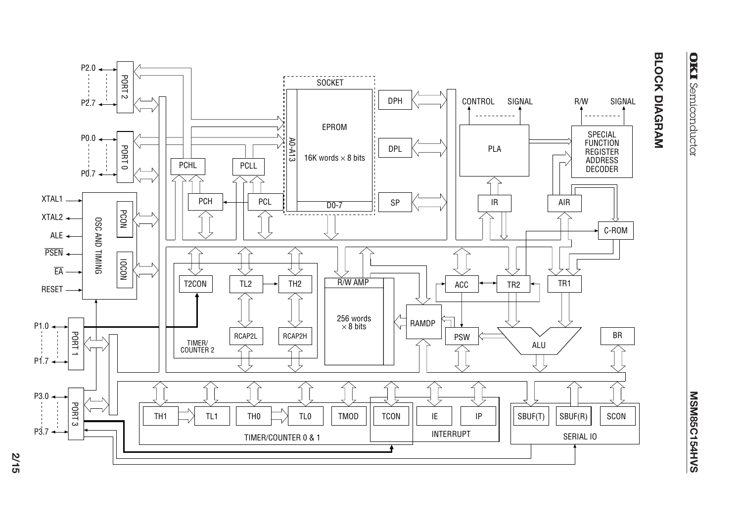



**BLOCK DIAGRAM**

BLOCK DIAGRAM

**2/15**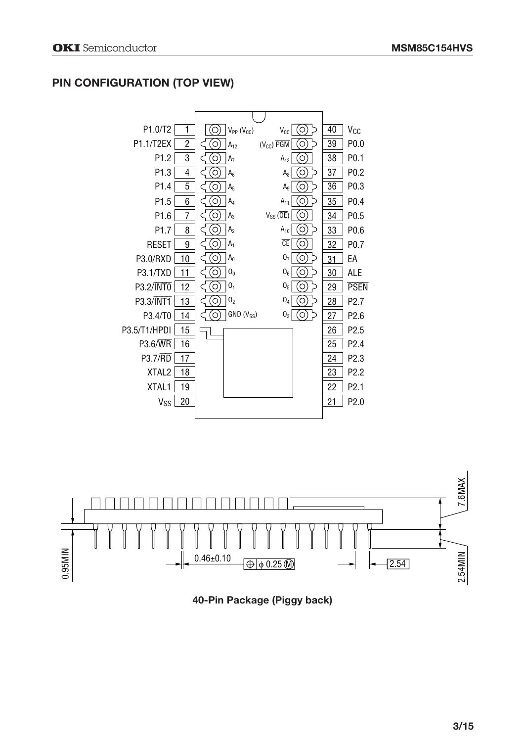# **PIN CONFIGURATION (TOP VIEW)**





**40-Pin Package (Piggy back)**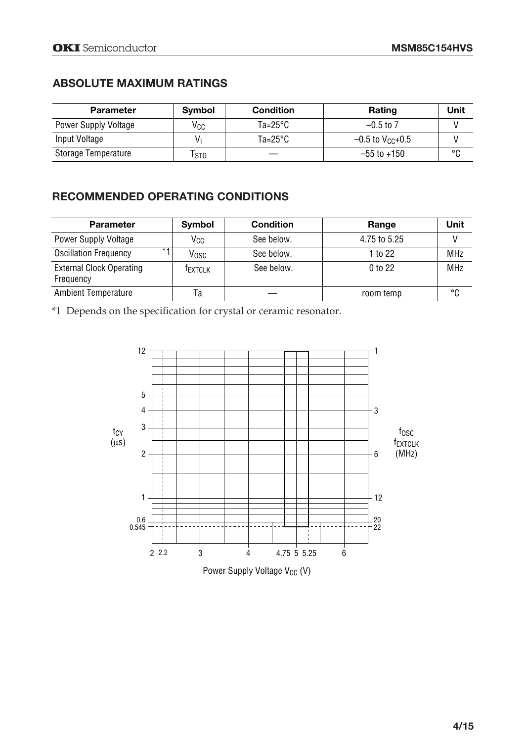## **ABSOLUTE MAXIMUM RATINGS**

| <b>Parameter</b>     | <b>Symbol</b> | <b>Condition</b> | Rating            | Unit    |
|----------------------|---------------|------------------|-------------------|---------|
| Power Supply Voltage | Vcc           | Ta=25°C          | $-0.5$ to 7       |         |
| Input Voltage        | V۱            | Ta=25°C          | $-0.5$ to Vcc+0.5 |         |
| Storage Temperature  | l stg         |                  | $-55$ to $+150$   | $\circ$ |

# **RECOMMENDED OPERATING CONDITIONS**

| <b>Parameter</b>                             | Symbol  | <b>Condition</b> | Range              | Unit       |
|----------------------------------------------|---------|------------------|--------------------|------------|
| <b>Power Supply Voltage</b>                  | Vcc     | See below.       | 4.75 to 5.25       |            |
| $* -$<br><b>Oscillation Frequency</b>        | Vosc    | See below.       | 1 to 22            | <b>MHz</b> |
| <b>External Clock Operating</b><br>Frequency | TEXTCLK | See below.       | 0 <sub>to</sub> 22 | <b>MHz</b> |
| <b>Ambient Temperature</b>                   | Ta      |                  | room temp          | °C         |

\*1 Depends on the specification for crystal or ceramic resonator.

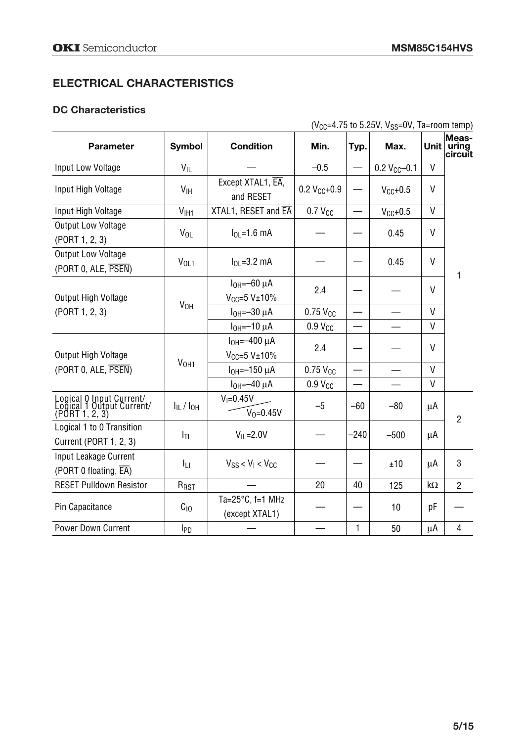# **ELECTRICAL CHARACTERISTICS**

## **DC Characteristics**

( $V_{CC}$ =4.75 to 5.25V, V<sub>SS</sub>=0V, Ta=room temp)

| <b>Parameter</b>                                                       | <b>Symbol</b>       | <b>Condition</b>                                 | Min.                   | Typ.   | Max.          |              | Meas-<br>Unit $ $ uring<br>circuit |  |
|------------------------------------------------------------------------|---------------------|--------------------------------------------------|------------------------|--------|---------------|--------------|------------------------------------|--|
| Input Low Voltage                                                      | $V_{IL}$            |                                                  | $-0.5$                 |        | $0.2 VCC-0.1$ | V            |                                    |  |
| Input High Voltage                                                     | V <sub>IH</sub>     | Except XTAL1, EA,<br>and RESET                   | $0.2 V_{CC} + 0.9$     |        | $V_{C}f$ +0.5 | $\vee$       |                                    |  |
| Input High Voltage                                                     | V <sub>HH1</sub>    | XTAL1, RESET and EA                              | $0.7$ $V_{CC}$         |        | $V_{CC}+0.5$  | $\vee$       |                                    |  |
| <b>Output Low Voltage</b><br>(PORT 1, 2, 3)                            | $V_{OL}$            | $I_{01} = 1.6$ mA                                |                        |        | 0.45          | $\vee$       |                                    |  |
| <b>Output Low Voltage</b><br>(PORT 0, ALE, PSEN)                       | $V_{OL1}$           | $I_{01} = 3.2$ mA                                |                        |        | 0.45          | V            | 1                                  |  |
| Output High Voltage                                                    | V <sub>OH</sub>     | $IOH=-60\muA$<br>$V_{CC}=5$ V $\pm$ 10%          | 2.4                    |        |               | V            |                                    |  |
| (PORT 1, 2, 3)                                                         |                     | $IOH=-30\muA$                                    | $0.75$ $V_{CC}$        |        |               | $\mathsf{V}$ |                                    |  |
|                                                                        |                     | $IOH=-10 \mu A$                                  | 0.9 V <sub>CC</sub>    |        |               | V            |                                    |  |
| Output High Voltage                                                    |                     | $I_{OH} = -400 \mu A$<br>$V_{CC} = 5 V \pm 10\%$ | 2.4                    |        |               | $\vee$       |                                    |  |
| (PORT 0, ALE, PSEN)                                                    | V <sub>OH1</sub>    | $I_{OH} = -150 \mu A$                            | $0.75$ V <sub>CC</sub> |        |               | $\mathsf{V}$ |                                    |  |
|                                                                        |                     | $IOH=-40 \mu A$                                  | 0.9 V <sub>CC</sub>    |        |               | V            |                                    |  |
| Logical 0 Input Current/<br>Logical 1 Qutput Current/<br>(PORT1, 2, 3) | $I_{IL}$ / $I_{OH}$ | $V_1 = 0.45V$<br>$V_0 = 0.45V$                   | $-5$                   | $-60$  | $-80$         | μA           | $\overline{2}$                     |  |
| Logical 1 to 0 Transition<br>Current (PORT 1, 2, 3)                    | I <sub>TL</sub>     | $V_{IL} = 2.0V$                                  |                        | $-240$ | $-500$        | μA           |                                    |  |
| Input Leakage Current<br>(PORT 0 floating, EA)                         | Iц                  | $V_{SS}$ < $V_I$ < $V_{CC}$                      |                        |        | ±10           | μA           | 3                                  |  |
| <b>RESET Pulldown Resistor</b>                                         | R <sub>RST</sub>    |                                                  | 20                     | 40     | 125           | kΩ           | $\overline{2}$                     |  |
| Pin Capacitance                                                        | $C_{10}$            | Ta= $25^{\circ}$ C, f=1 MHz<br>(except XTAL1)    |                        |        | 10            | рF           |                                    |  |
| Power Down Current                                                     | I <sub>PD</sub>     |                                                  |                        | 1      | 50            | μA           | 4                                  |  |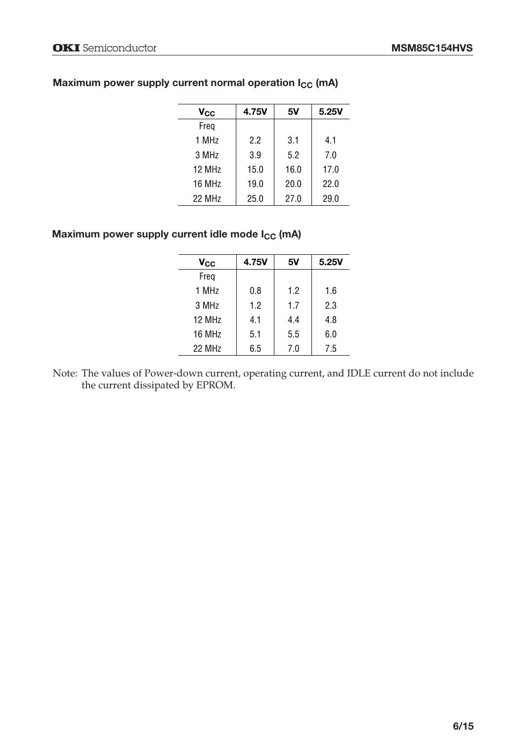| $\mathsf{v}_{\mathsf{cc}}$ | 4.75V | 5ν   | 5.25V |
|----------------------------|-------|------|-------|
| Freg                       |       |      |       |
| 1 MHz                      | 22    | 3.1  | 4.1   |
| 3 MHz                      | 3.9   | 5.2  | 7.0   |
| 12 MH <sub>7</sub>         | 15.0  | 16.0 | 17.0  |
| 16 MHz                     | 19.0  | 20.0 | 22.0  |
| 22 MHz                     | 25.0  | 27.0 | 29.0  |

## Maximum power supply current normal operation I<sub>CC</sub> (mA)

## Maximum power supply current idle mode I<sub>CC</sub> (mA)

| <b>V<sub>CC</sub></b> | 4.75V | 5٧  | 5.25V |
|-----------------------|-------|-----|-------|
| Freg                  |       |     |       |
| 1 MH <sub>7</sub>     | 0.8   | 1.2 | 1.6   |
| 3 MHz                 | 1.2   | 1.7 | 2.3   |
| 12 MHz                | 4.1   | 4.4 | 4.8   |
| 16 MHz                | 5.1   | 5.5 | 6.0   |
| 22 MHz                | 6.5   | 7.0 | 7.5   |
|                       |       |     |       |

Note: The values of Power-down current, operating current, and IDLE current do not include the current dissipated by EPROM.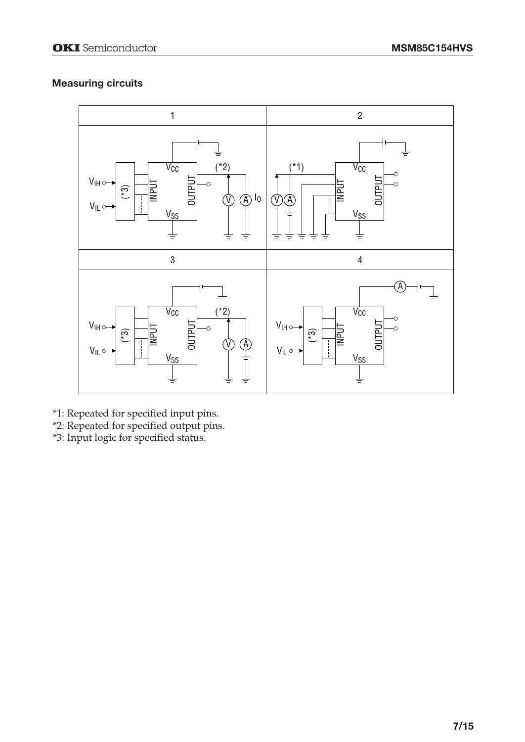## **Measuring circuits**



- \*1: Repeated for specified input pins.
- \*2: Repeated for specified output pins.
- \*3: Input logic for specified status.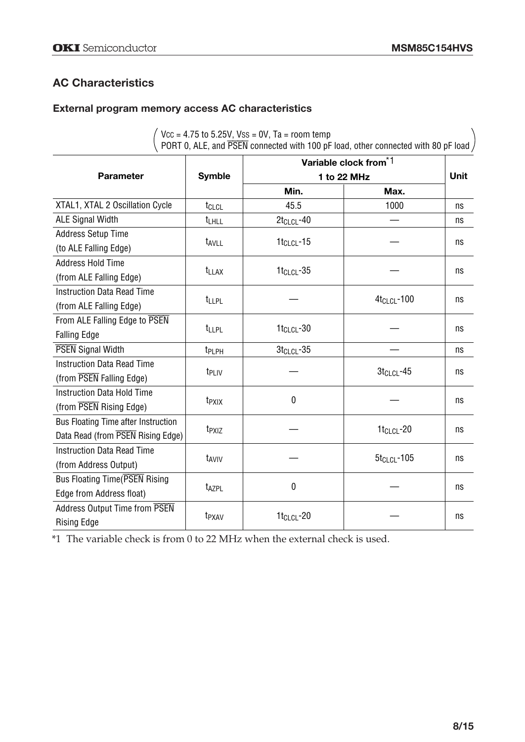# **AC Characteristics**

# **External program memory access AC characteristics**

|                                                                          |                         | $10.000 - 0.001$<br>PORT 0, ALE, and $\overline{\text{PSEN}}$ connected with 100 pF load, other connected with 80 pF load, |                                   |    |
|--------------------------------------------------------------------------|-------------------------|----------------------------------------------------------------------------------------------------------------------------|-----------------------------------|----|
|                                                                          |                         |                                                                                                                            | Variable clock from <sup>*1</sup> |    |
| <b>Parameter</b>                                                         | <b>Symble</b>           | 1 to 22 MHz                                                                                                                | <b>Unit</b>                       |    |
|                                                                          |                         | Min.                                                                                                                       | Max.                              |    |
| XTAL1, XTAL 2 Oscillation Cycle                                          | t <sub>CLCL</sub>       | 45.5                                                                                                                       | 1000                              | ns |
| <b>ALE Signal Width</b>                                                  | t <sub>LHLL</sub>       | $2t_{CLCL}$ -40                                                                                                            |                                   | ns |
| Address Setup Time<br>(to ALE Falling Edge)                              | <b>t<sub>AVLL</sub></b> | $1tCLCL - 15$                                                                                                              |                                   | ns |
| <b>Address Hold Time</b><br>(from ALE Falling Edge)                      | <b>t</b> LLAX           | $1t_{CLCL} - 35$                                                                                                           |                                   | ns |
| <b>Instruction Data Read Time</b><br>(from ALE Falling Edge)             | t <sub>LLPL</sub>       |                                                                                                                            | 4t <sub>CLCL</sub> -100           | ns |
| From ALE Falling Edge to PSEN<br><b>Falling Edge</b>                     | t <sub>LLPL</sub>       | $1t_{CLCL}$ -30                                                                                                            |                                   | ns |
| <b>PSEN</b> Signal Width                                                 | t <sub>PLPH</sub>       | $3tCLCL - 35$                                                                                                              |                                   | ns |
| <b>Instruction Data Read Time</b><br>(from PSEN Falling Edge)            | t <sub>PLIV</sub>       |                                                                                                                            | $3tCLCL - 45$                     | ns |
| <b>Instruction Data Hold Time</b><br>(from PSEN Rising Edge)             | t <sub>PXIX</sub>       | 0                                                                                                                          |                                   | ns |
| Bus Floating Time after Instruction<br>Data Read (from PSEN Rising Edge) | t <sub>PXIZ</sub>       |                                                                                                                            | $1t_{CLCL}$ -20                   | ns |
| <b>Instruction Data Read Time</b><br>(from Address Output)               | t <sub>AVIV</sub>       |                                                                                                                            | $5t_{CLCL}$ -105                  | ns |
| Bus Floating Time (PSEN Rising<br>Edge from Address float)               | <b>t<sub>AZPL</sub></b> | 0                                                                                                                          |                                   | ns |
| <b>Address Output Time from PSEN</b><br><b>Rising Edge</b>               | t <sub>PXAV</sub>       | 1t <sub>CLCL</sub> -20                                                                                                     |                                   | ns |

 $\sqrt{V_{\text{CC}}}$  = 4.75 to 5.25V, Vss = 0V, Ta = room temp  $\setminus$ 

\*1 The variable check is from 0 to 22 MHz when the external check is used.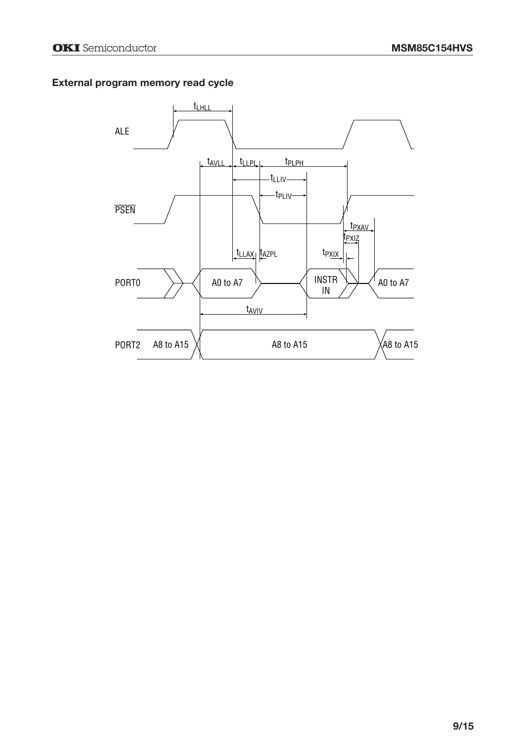#### **External program memory read cycle**

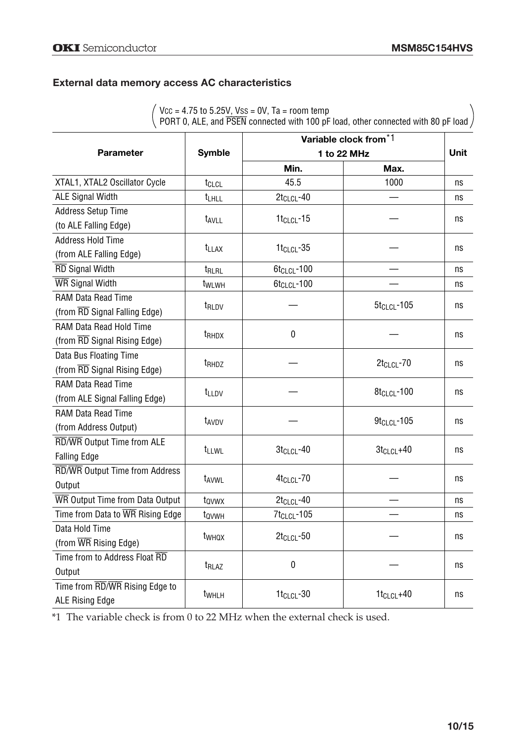#### **External data memory access AC characteristics**

VCC = 4.75 to 5.25V, VSS = 0V, Ta = room temp

PORT 0, ALE, and PSEN connected with 100 pF load, other connected with 80 pF load

|                                           |                   |                         | Variable clock from <sup>*1</sup> | Unit |
|-------------------------------------------|-------------------|-------------------------|-----------------------------------|------|
| <b>Parameter</b>                          | <b>Symble</b>     |                         | 1 to 22 MHz                       |      |
|                                           |                   | Min.                    | Max.                              |      |
| XTAL1, XTAL2 Oscillator Cycle             | t <sub>CLCL</sub> | 45.5                    | 1000                              | ns   |
| <b>ALE Signal Width</b>                   | t <sub>LHLL</sub> | $2t_{CLCL}$ -40         |                                   | ns   |
| <b>Address Setup Time</b>                 |                   |                         |                                   |      |
| (to ALE Falling Edge)                     | t <sub>AVLL</sub> | $1tCLCL - 15$           |                                   | ns   |
| <b>Address Hold Time</b>                  |                   |                         |                                   |      |
| (from ALE Falling Edge)                   | <b>t</b> LLAX     | $1t_{CLCL} - 35$        |                                   | ns   |
| RD Signal Width                           | t <sub>RLRL</sub> | 6t <sub>CLCL</sub> -100 |                                   | ns   |
| WR Signal Width                           | twLwH             | 6t <sub>CLCL</sub> -100 |                                   | ns   |
| RAM Data Read Time                        |                   |                         |                                   |      |
| (from RD Signal Falling Edge)             | t <sub>RLDV</sub> |                         | $5t_{CLCL}$ -105                  | ns   |
| RAM Data Read Hold Time                   |                   |                         |                                   |      |
| (from RD Signal Rising Edge)              | t <sub>RHDX</sub> | $\mathbf 0$             |                                   | ns   |
| Data Bus Floating Time                    |                   |                         |                                   |      |
| (from RD Signal Rising Edge)              | t <sub>RHDZ</sub> |                         | $2t_{CLCL}$ -70                   | ns   |
| RAM Data Read Time                        |                   |                         |                                   |      |
| (from ALE Signal Falling Edge)            | t <sub>LLDV</sub> |                         | 8t <sub>CLCL</sub> -100           | ns   |
| <b>RAM Data Read Time</b>                 |                   |                         |                                   |      |
| (from Address Output)                     | t <sub>AVDV</sub> |                         | $9t_{CLCL}$ -105                  | ns   |
| RD/WR Output Time from ALE                |                   |                         |                                   |      |
| <b>Falling Edge</b>                       | t <sub>LLWL</sub> | $3t_{CLCL} - 40$        | $3t_{CLCL} + 40$                  | ns   |
| RD/WR Output Time from Address            |                   |                         |                                   |      |
| Output                                    | t <sub>AVWL</sub> | 4t <sub>CLCL</sub> -70  |                                   | ns   |
| WR Output Time from Data Output           | tovwx             | $2t_{CLCL} - 40$        |                                   | ns   |
| Time from Data to WR Rising Edge          | t <sub>ovwH</sub> | 7t <sub>CLCL</sub> -105 |                                   | ns   |
| Data Hold Time                            |                   | $2t_{CLCL}$ -50         |                                   |      |
| (from $\overline{\text{WR}}$ Rising Edge) | twhox             |                         |                                   | ns   |
| Time from to Address Float RD             |                   | $\mathbf 0$             |                                   |      |
| Output                                    | t <sub>RLAZ</sub> |                         |                                   | ns   |
| Time from RD/WR Rising Edge to            |                   | $1t_{CLCL}$ -30         | $1t_{CLCL} + 40$                  | ns   |
| <b>ALE Rising Edge</b>                    | t <sub>WHLH</sub> |                         |                                   |      |

\*1 The variable check is from 0 to 22 MHz when the external check is used.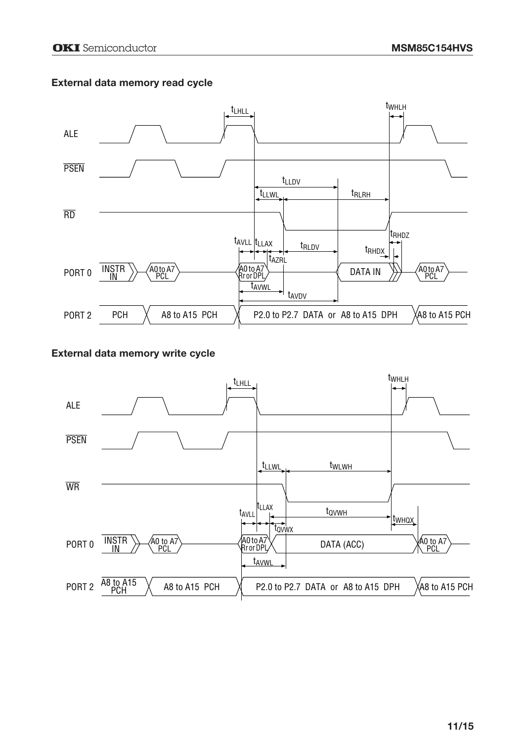#### **External data memory read cycle**



#### **External data memory write cycle**

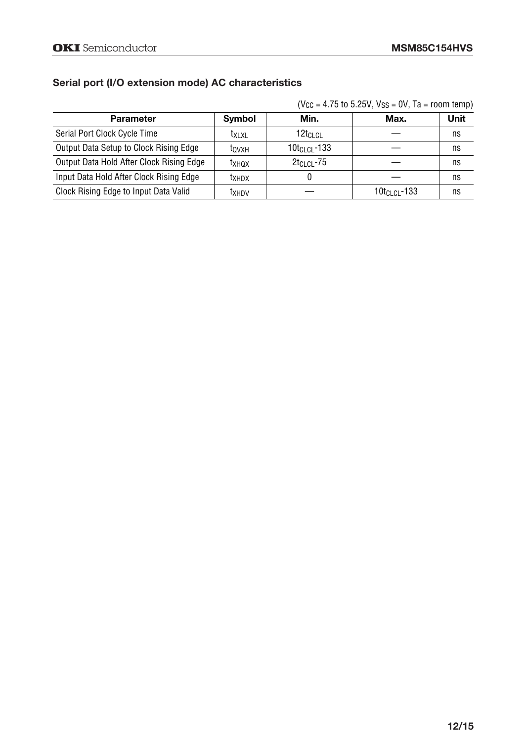## **Serial port (I/O extension mode) AC characteristics**

| $(Vcc = 4.75$ to 5.25V, Vss = 0V, Ta = room temp) |  |  |  |
|---------------------------------------------------|--|--|--|
|---------------------------------------------------|--|--|--|

| <b>Parameter</b>                         | Symbol       | Min.                 | Max.              | Unit |
|------------------------------------------|--------------|----------------------|-------------------|------|
| Serial Port Clock Cycle Time             | <b>TXLXL</b> | 12t <sub>Cl Cl</sub> |                   | ns   |
| Output Data Setup to Clock Rising Edge   | tovxh        | $10t_{CLCL}$ -133    |                   | ns   |
| Output Data Hold After Clock Rising Edge | tхнох        | $2t_{CLCL}$ -75      |                   | ns   |
| Input Data Hold After Clock Rising Edge  | tхнdх        |                      |                   | ns   |
| Clock Rising Edge to Input Data Valid    | txhdv        |                      | $10t_{CLCL}$ -133 | ns   |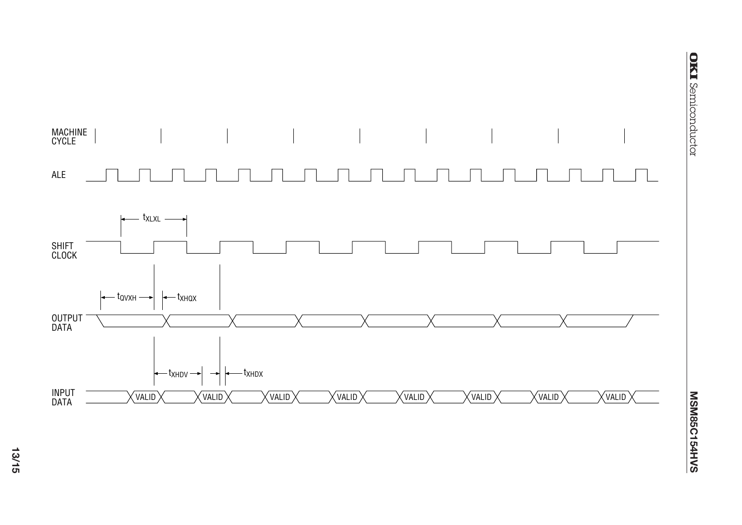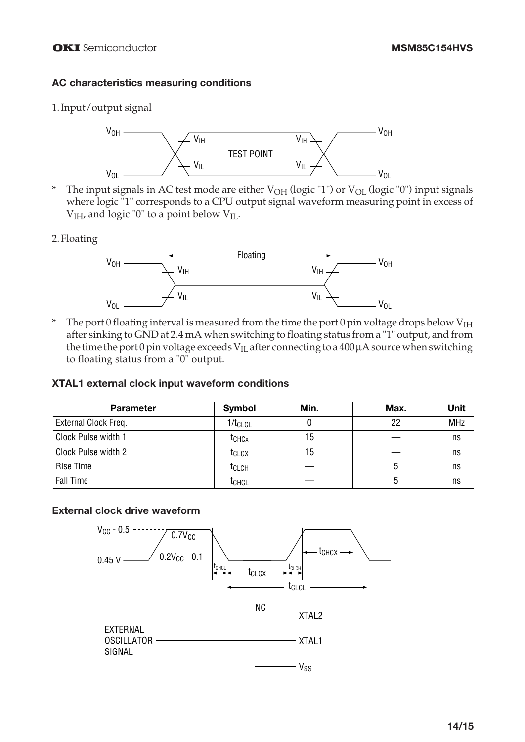## **AC characteristics measuring conditions**

### 1.Input/output signal



\* The input signals in AC test mode are either  $V_{OH}$  (logic "1") or  $V_{OL}$  (logic "0") input signals where logic "1" corresponds to a CPU output signal waveform measuring point in excess of  $V<sub>IH</sub>$ , and logic "0" to a point below  $V<sub>IL</sub>$ .

#### 2.Floating



The port 0 floating interval is measured from the time the port 0 pin voltage drops below  $V_{\text{IH}}$ after sinking to GND at 2.4 mA when switching to floating status from a "1" output, and from the time the port 0 pin voltage exceeds  $V_{II}$  after connecting to a 400  $\mu$ A source when switching to floating status from a "0" output.

#### **XTAL1 external clock input waveform conditions**

| <b>Parameter</b>     | <b>Symbol</b>     | Min. | Max. | Unit       |
|----------------------|-------------------|------|------|------------|
| External Clock Freq. | $1/t_{CLCL}$      |      | 22   | <b>MHz</b> |
| Clock Pulse width 1  | tchcx             | 15   |      | ns         |
| Clock Pulse width 2  | t <sub>CLCX</sub> | 15   |      | ns         |
| Rise Time            | <sup>t</sup> CLCH |      |      | ns         |
| <b>Fall Time</b>     | tchcl             |      |      | ns         |

## **External clock drive waveform**